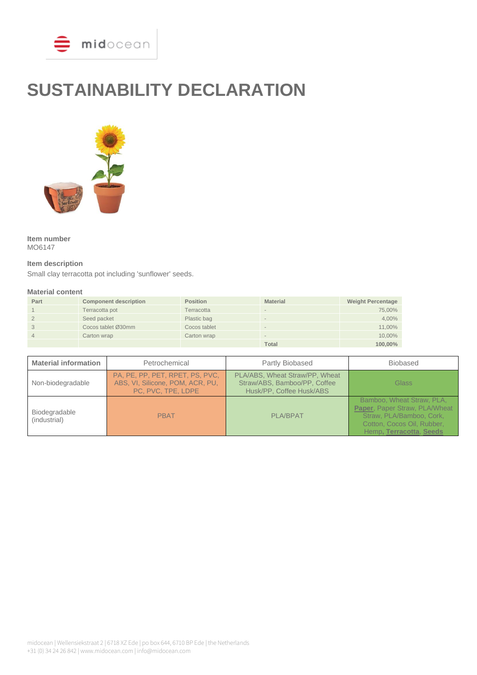

# **SUSTAINABILITY DECLARATION**



**Item number** MO6147

# **Item description**

Small clay terracotta pot including 'sunflower' seeds.

#### **Material content**

| Part | <b>Component description</b> | <b>Position</b> | <b>Material</b>          | <b>Weight Percentage</b> |
|------|------------------------------|-----------------|--------------------------|--------------------------|
|      | Terracotta pot               | Terracotta      | $\overline{\phantom{a}}$ | 75,00%                   |
|      | Seed packet                  | Plastic bag     |                          | 4,00%                    |
|      | Cocos tablet Ø30mm           | Cocos tablet    |                          | 11,00%                   |
|      | Carton wrap                  | Carton wrap     | $\sim$                   | 10,00%                   |
|      |                              |                 | <b>Total</b>             | 100.00%                  |

| <b>Material information</b>   | Petrochemical                                                                             | Partly Biobased                                                                            | <b>Biobased</b>                                                                                                                                 |
|-------------------------------|-------------------------------------------------------------------------------------------|--------------------------------------------------------------------------------------------|-------------------------------------------------------------------------------------------------------------------------------------------------|
| Non-biodegradable             | PA, PE, PP, PET, RPET, PS, PVC,<br>ABS, VI, Silicone, POM, ACR, PU,<br>PC, PVC, TPE, LDPE | PLA/ABS, Wheat Straw/PP, Wheat<br>Straw/ABS, Bamboo/PP, Coffee<br>Husk/PP, Coffee Husk/ABS | <b>Glass</b>                                                                                                                                    |
| Biodegradable<br>(industrial) | <b>PBAT</b>                                                                               | <b>PLA/BPAT</b>                                                                            | Bamboo, Wheat Straw, PLA,<br>Paper, Paper Straw, PLA/Wheat<br>Straw, PLA/Bamboo, Cork,<br>Cotton, Cocos Oil, Rubber,<br>Hemp, Terracotta, Seeds |